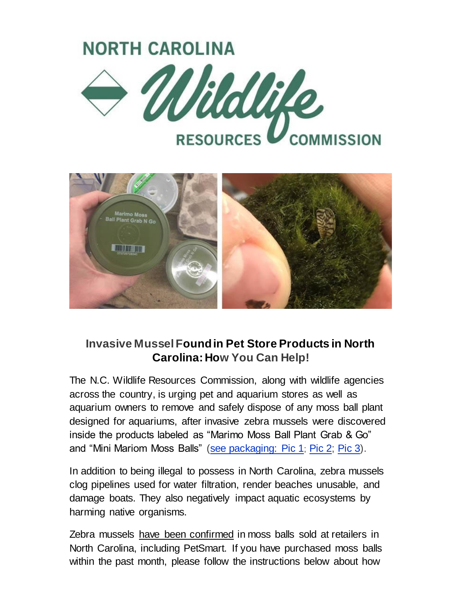



## **Invasive Mussel Found in Pet Store Products in North Carolina: How You Can Help!**

The N.C. Wildlife Resources Commission, along with wildlife agencies across the country, is urging pet and aquarium stores as well as aquarium owners to remove and safely dispose of any moss ball plant designed for aquariums, after invasive zebra mussels were discovered inside the products labeled as "Marimo Moss Ball Plant Grab & Go" and "Mini Mariom Moss Balls" [\(see packaging: Pic 1](https://urldefense.com/v3/__https:/click.icptrack.com/icp/relay.php?r=43229596&msgid=1087170&act=CL6O&c=1056513&destination=https*3A*2F*2Fwww.ncwildlife.org*2FPortals*2F0*2FNews*2Fimages*2F2021*2FPackage1.jpg*3F*3Futm_source*3DiContact*26utm_medium*3Demail*26utm_campaign*3Dnc-wildlife-update*26utm_content*3DCopy*2Bof*2BZebra*2BMussel&cf=37810&v=3d5ebbcc84cdd918b161f9190658933e7115bfb64980a73c51e30ecd890459e7__;JSUlJSUlJSUlJSUlJSUlJSUlJSUl!!HYmSToo!Ii2b53zn_p48WoNqbh5rKAYtBZFs8gGQsJhXndXRyUkfxszqNrQbht7TNv2NZp1apIeefQ$); [Pic 2;](https://urldefense.com/v3/__https:/click.icptrack.com/icp/relay.php?r=43229596&msgid=1087170&act=CL6O&c=1056513&destination=http*3A*2F*2Fwww.ncwildlife.org*2FPortals*2F0*2FNews*2Fimages*2F2021*2FPackage2.jpg*3Futm_source*3DiContact*26utm_medium*3Demail*26utm_campaign*3Dnc-wildlife-update*26utm_content*3DCopy*2Bof*2BZebra*2BMussel&cf=37810&v=ee06a931bc4c4debe51c495f3ccdc85cb40fd4931ae438c8138d311a0f746b66__;JSUlJSUlJSUlJSUlJSUlJSUlJSU!!HYmSToo!Ii2b53zn_p48WoNqbh5rKAYtBZFs8gGQsJhXndXRyUkfxszqNrQbht7TNv2NZp10Fs3xCA$) [Pic 3\)](https://urldefense.com/v3/__https:/click.icptrack.com/icp/relay.php?r=43229596&msgid=1087170&act=CL6O&c=1056513&destination=http*3A*2F*2Fwww.ncwildlife.org*2FPortals*2F0*2FNews*2Fimages*2F2021*2FPackage3.jpg*3Futm_source*3DiContact*26utm_medium*3Demail*26utm_campaign*3Dnc-wildlife-update*26utm_content*3DCopy*2Bof*2BZebra*2BMussel&cf=37810&v=1b784164de90139b270c4558e09c1e322aa117324ea3072678f19c5ba7902526__;JSUlJSUlJSUlJSUlJSUlJSUlJSU!!HYmSToo!Ii2b53zn_p48WoNqbh5rKAYtBZFs8gGQsJhXndXRyUkfxszqNrQbht7TNv2NZp1bh416Gw$).

In addition to being illegal to possess in North Carolina, zebra mussels clog pipelines used for water filtration, render beaches unusable, and damage boats. They also negatively impact aquatic ecosystems by harming native organisms.

Zebra mussels have been confirmed in moss balls sold at retailers in North Carolina, including PetSmart. If you have purchased moss balls within the past month, please follow the instructions below about how